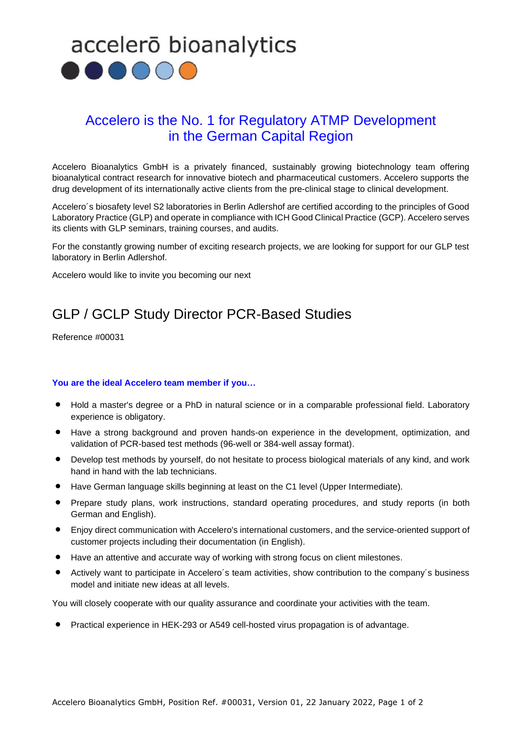

## Accelero is the No. 1 for Regulatory ATMP Development in the German Capital Region

Accelero Bioanalytics GmbH is a privately financed, sustainably growing biotechnology team offering bioanalytical contract research for innovative biotech and pharmaceutical customers. Accelero supports the drug development of its internationally active clients from the pre-clinical stage to clinical development.

Accelero´s biosafety level S2 laboratories in Berlin Adlershof are certified according to the principles of Good Laboratory Practice (GLP) and operate in compliance with ICH Good Clinical Practice (GCP). Accelero serves its clients with GLP seminars, training courses, and audits.

For the constantly growing number of exciting research projects, we are looking for support for our GLP test laboratory in Berlin Adlershof.

Accelero would like to invite you becoming our next

## GLP / GCLP Study Director PCR-Based Studies

Reference #00031

### **You are the ideal Accelero team member if you…**

- Hold a master's degree or a PhD in natural science or in a comparable professional field. Laboratory experience is obligatory.
- Have a strong background and proven hands-on experience in the development, optimization, and validation of PCR-based test methods (96-well or 384-well assay format).
- Develop test methods by yourself, do not hesitate to process biological materials of any kind, and work hand in hand with the lab technicians.
- Have German language skills beginning at least on the C1 level (Upper Intermediate).
- Prepare study plans, work instructions, standard operating procedures, and study reports (in both German and English).
- Enjoy direct communication with Accelero's international customers, and the service-oriented support of customer projects including their documentation (in English).
- Have an attentive and accurate way of working with strong focus on client milestones.
- Actively want to participate in Accelero´s team activities, show contribution to the company´s business model and initiate new ideas at all levels.

You will closely cooperate with our quality assurance and coordinate your activities with the team.

• Practical experience in HEK-293 or A549 cell-hosted virus propagation is of advantage.